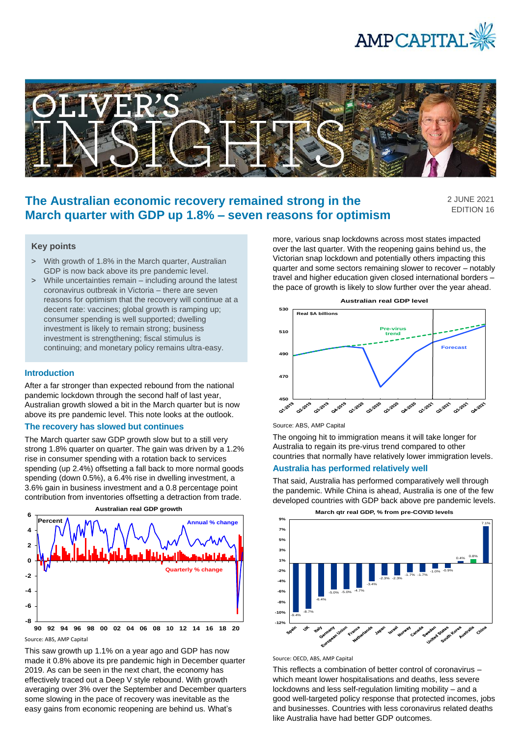



# **The Australian economic recovery remained strong in the March quarter with GDP up 1.8% – seven reasons for optimism**

2 JUNE 2021 EDITION 16

## **Key points**

- > With growth of 1.8% in the March quarter, Australian GDP is now back above its pre pandemic level.
- > While uncertainties remain including around the latest coronavirus outbreak in Victoria – there are seven reasons for optimism that the recovery will continue at a decent rate: vaccines; global growth is ramping up; consumer spending is well supported; dwelling investment is likely to remain strong; business investment is strengthening; fiscal stimulus is continuing; and monetary policy remains ultra-easy.

### **Introduction**

After a far stronger than expected rebound from the national pandemic lockdown through the second half of last year, Australian growth slowed a bit in the March quarter but is now above its pre pandemic level. This note looks at the outlook.

## **The recovery has slowed but continues**

The March quarter saw GDP growth slow but to a still very strong 1.8% quarter on quarter. The gain was driven by a 1.2% rise in consumer spending with a rotation back to services spending (up 2.4%) offsetting a fall back to more normal goods spending (down 0.5%), a 6.4% rise in dwelling investment, a 3.6% gain in business investment and a 0.8 percentage point contribution from inventories offsetting a detraction from trade.



Source: ABS, AMP Capital

This saw growth up 1.1% on a year ago and GDP has now made it 0.8% above its pre pandemic high in December quarter 2019. As can be seen in the next chart, the economy has effectively traced out a Deep V style rebound. With growth averaging over 3% over the September and December quarters some slowing in the pace of recovery was inevitable as the easy gains from economic reopening are behind us. What's

more, various snap lockdowns across most states impacted over the last quarter. With the reopening gains behind us, the Victorian snap lockdown and potentially others impacting this quarter and some sectors remaining slower to recover – notably travel and higher education given closed international borders – the pace of growth is likely to slow further over the year ahead.



Source: ABS, AMP Capital

The ongoing hit to immigration means it will take longer for Australia to regain its pre-virus trend compared to other countries that normally have relatively lower immigration levels.

#### **Australia has performed relatively well**

That said, Australia has performed comparatively well through the pandemic. While China is ahead, Australia is one of the few developed countries with GDP back above pre pandemic levels.



Source: OECD, ABS, AMP Capital

This reflects a combination of better control of coronavirus – which meant lower hospitalisations and deaths, less severe lockdowns and less self-regulation limiting mobility – and a good well-targeted policy response that protected incomes, jobs and businesses. Countries with less coronavirus related deaths like Australia have had better GDP outcomes.